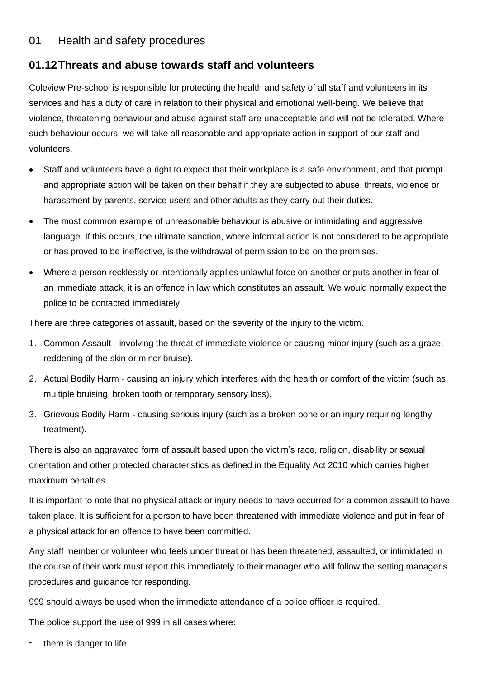## 01 Health and safety procedures

# **01.12Threats and abuse towards staff and volunteers**

Coleview Pre-school is responsible for protecting the health and safety of all staff and volunteers in its services and has a duty of care in relation to their physical and emotional well-being. We believe that violence, threatening behaviour and abuse against staff are unacceptable and will not be tolerated. Where such behaviour occurs, we will take all reasonable and appropriate action in support of our staff and volunteers.

- Staff and volunteers have a right to expect that their workplace is a safe environment, and that prompt and appropriate action will be taken on their behalf if they are subjected to abuse, threats, violence or harassment by parents, service users and other adults as they carry out their duties.
- The most common example of unreasonable behaviour is abusive or intimidating and aggressive language. If this occurs, the ultimate sanction, where informal action is not considered to be appropriate or has proved to be ineffective, is the withdrawal of permission to be on the premises.
- Where a person recklessly or intentionally applies unlawful force on another or puts another in fear of an immediate attack, it is an offence in law which constitutes an assault. We would normally expect the police to be contacted immediately.

There are three categories of assault, based on the severity of the injury to the victim.

- 1. Common Assault involving the threat of immediate violence or causing minor injury (such as a graze, reddening of the skin or minor bruise).
- 2. Actual Bodily Harm causing an injury which interferes with the health or comfort of the victim (such as multiple bruising, broken tooth or temporary sensory loss).
- 3. Grievous Bodily Harm causing serious injury (such as a broken bone or an injury requiring lengthy treatment).

There is also an aggravated form of assault based upon the victim's race, religion, disability or sexual orientation and other protected characteristics as defined in the Equality Act 2010 which carries higher maximum penalties.

It is important to note that no physical attack or injury needs to have occurred for a common assault to have taken place. It is sufficient for a person to have been threatened with immediate violence and put in fear of a physical attack for an offence to have been committed.

Any staff member or volunteer who feels under threat or has been threatened, assaulted, or intimidated in the course of their work must report this immediately to their manager who will follow the setting manager's procedures and guidance for responding.

999 should always be used when the immediate attendance of a police officer is required.

The police support the use of 999 in all cases where:

there is danger to life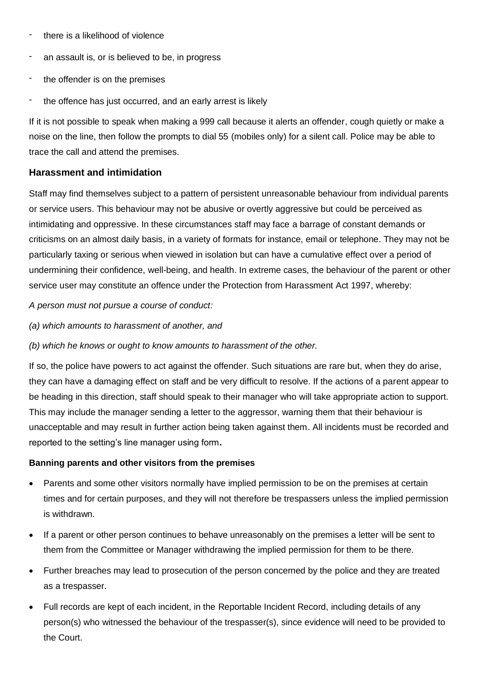- there is a likelihood of violence
- an assault is, or is believed to be, in progress
- the offender is on the premises
- the offence has just occurred, and an early arrest is likely

If it is not possible to speak when making a 999 call because it alerts an offender, cough quietly or make a noise on the line, then follow the prompts to dial 55 (mobiles only) for a silent call. Police may be able to trace the call and attend the premises.

## **Harassment and intimidation**

Staff may find themselves subject to a pattern of persistent unreasonable behaviour from individual parents or service users. This behaviour may not be abusive or overtly aggressive but could be perceived as intimidating and oppressive. In these circumstances staff may face a barrage of constant demands or criticisms on an almost daily basis, in a variety of formats for instance, email or telephone. They may not be particularly taxing or serious when viewed in isolation but can have a cumulative effect over a period of undermining their confidence, well-being, and health. In extreme cases, the behaviour of the parent or other service user may constitute an offence under the Protection from Harassment Act 1997, whereby:

#### *A person must not pursue a course of conduct:*

*(a) which amounts to harassment of another, and*

*(b) which he knows or ought to know amounts to harassment of the other.*

If so, the police have powers to act against the offender. Such situations are rare but, when they do arise, they can have a damaging effect on staff and be very difficult to resolve. If the actions of a parent appear to be heading in this direction, staff should speak to their manager who will take appropriate action to support. This may include the manager sending a letter to the aggressor, warning them that their behaviour is unacceptable and may result in further action being taken against them. All incidents must be recorded and reported to the setting's line manager using form**.**

#### **Banning parents and other visitors from the premises**

- Parents and some other visitors normally have implied permission to be on the premises at certain times and for certain purposes, and they will not therefore be trespassers unless the implied permission is withdrawn.
- If a parent or other person continues to behave unreasonably on the premises a letter will be sent to them from the Committee or Manager withdrawing the implied permission for them to be there.
- Further breaches may lead to prosecution of the person concerned by the police and they are treated as a trespasser.
- Full records are kept of each incident, in the Reportable Incident Record, including details of any person(s) who witnessed the behaviour of the trespasser(s), since evidence will need to be provided to the Court.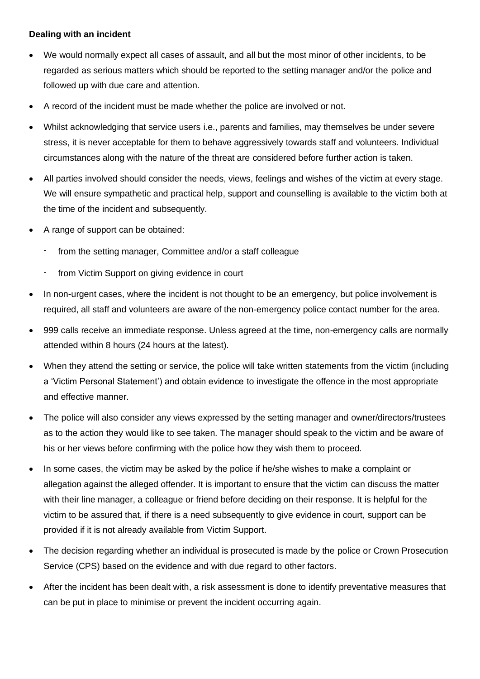## **Dealing with an incident**

- We would normally expect all cases of assault, and all but the most minor of other incidents, to be regarded as serious matters which should be reported to the setting manager and/or the police and followed up with due care and attention.
- A record of the incident must be made whether the police are involved or not.
- Whilst acknowledging that service users i.e., parents and families, may themselves be under severe stress, it is never acceptable for them to behave aggressively towards staff and volunteers. Individual circumstances along with the nature of the threat are considered before further action is taken.
- All parties involved should consider the needs, views, feelings and wishes of the victim at every stage. We will ensure sympathetic and practical help, support and counselling is available to the victim both at the time of the incident and subsequently.
- A range of support can be obtained:
	- from the setting manager, Committee and/or a staff colleague
	- from Victim Support on giving evidence in court
- In non-urgent cases, where the incident is not thought to be an emergency, but police involvement is required, all staff and volunteers are aware of the non-emergency police contact number for the area.
- 999 calls receive an immediate response. Unless agreed at the time, non-emergency calls are normally attended within 8 hours (24 hours at the latest).
- When they attend the setting or service, the police will take written statements from the victim (including a 'Victim Personal Statement') and obtain evidence to investigate the offence in the most appropriate and effective manner.
- The police will also consider any views expressed by the setting manager and owner/directors/trustees as to the action they would like to see taken. The manager should speak to the victim and be aware of his or her views before confirming with the police how they wish them to proceed.
- In some cases, the victim may be asked by the police if he/she wishes to make a complaint or allegation against the alleged offender. It is important to ensure that the victim can discuss the matter with their line manager, a colleague or friend before deciding on their response. It is helpful for the victim to be assured that, if there is a need subsequently to give evidence in court, support can be provided if it is not already available from Victim Support.
- The decision regarding whether an individual is prosecuted is made by the police or Crown Prosecution Service (CPS) based on the evidence and with due regard to other factors.
- After the incident has been dealt with, a risk assessment is done to identify preventative measures that can be put in place to minimise or prevent the incident occurring again.